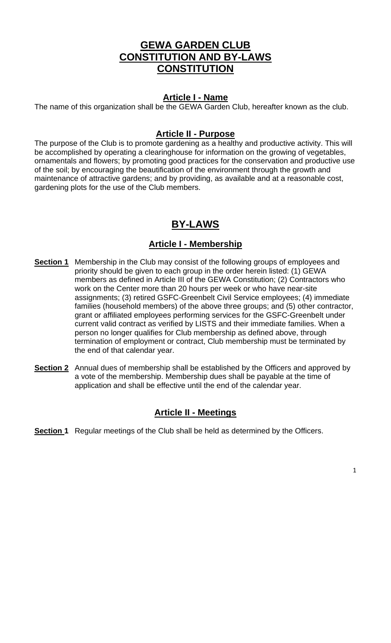## **GEWA GARDEN CLUB CONSTITUTION AND BY-LAWS CONSTITUTION**

#### **Article I - Name**

The name of this organization shall be the GEWA Garden Club, hereafter known as the club.

#### **Article II - Purpose**

The purpose of the Club is to promote gardening as a healthy and productive activity. This will be accomplished by operating a clearinghouse for information on the growing of vegetables, ornamentals and flowers; by promoting good practices for the conservation and productive use of the soil; by encouraging the beautification of the environment through the growth and maintenance of attractive gardens; and by providing, as available and at a reasonable cost, gardening plots for the use of the Club members.

# **BY-LAWS**

#### **Article I - Membership**

- **Section 1** Membership in the Club may consist of the following groups of employees and priority should be given to each group in the order herein listed: (1) GEWA members as defined in Article III of the GEWA Constitution; (2) Contractors who work on the Center more than 20 hours per week or who have near-site assignments; (3) retired GSFC-Greenbelt Civil Service employees; (4) immediate families (household members) of the above three groups; and (5) other contractor, grant or affiliated employees performing services for the GSFC-Greenbelt under current valid contract as verified by LISTS and their immediate families. When a person no longer qualifies for Club membership as defined above, through termination of employment or contract, Club membership must be terminated by the end of that calendar year.
- **Section 2** Annual dues of membership shall be established by the Officers and approved by a vote of the membership. Membership dues shall be payable at the time of application and shall be effective until the end of the calendar year.

#### **Article II - Meetings**

**Section 1** Regular meetings of the Club shall be held as determined by the Officers.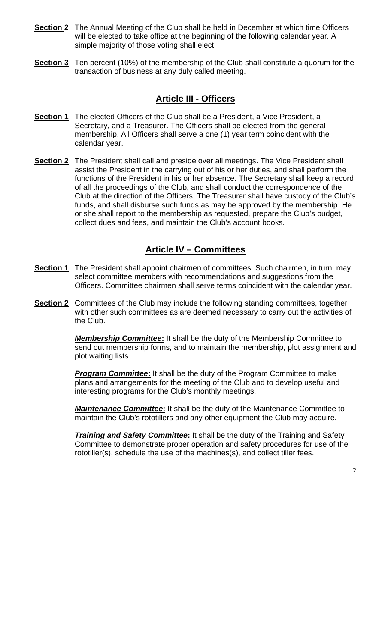- **Section 2** The Annual Meeting of the Club shall be held in December at which time Officers will be elected to take office at the beginning of the following calendar year. A simple majority of those voting shall elect.
- **Section 3** Ten percent (10%) of the membership of the Club shall constitute a quorum for the transaction of business at any duly called meeting.

### **Article III - Officers**

- **Section 1** The elected Officers of the Club shall be a President, a Vice President, a Secretary, and a Treasurer. The Officers shall be elected from the general membership. All Officers shall serve a one (1) year term coincident with the calendar year.
- **Section 2** The President shall call and preside over all meetings. The Vice President shall assist the President in the carrying out of his or her duties, and shall perform the functions of the President in his or her absence. The Secretary shall keep a record of all the proceedings of the Club, and shall conduct the correspondence of the Club at the direction of the Officers. The Treasurer shall have custody of the Club's funds, and shall disburse such funds as may be approved by the membership. He or she shall report to the membership as requested, prepare the Club's budget, collect dues and fees, and maintain the Club's account books.

### **Article IV – Committees**

- **Section 1** The President shall appoint chairmen of committees. Such chairmen, in turn, may select committee members with recommendations and suggestions from the Officers. Committee chairmen shall serve terms coincident with the calendar year.
- **Section 2** Committees of the Club may include the following standing committees, together with other such committees as are deemed necessary to carry out the activities of the Club.

*Membership Committee***:** It shall be the duty of the Membership Committee to send out membership forms, and to maintain the membership, plot assignment and plot waiting lists.

*Program Committee***:** It shall be the duty of the Program Committee to make plans and arrangements for the meeting of the Club and to develop useful and interesting programs for the Club's monthly meetings.

*Maintenance Committee***:** It shall be the duty of the Maintenance Committee to maintain the Club's rototillers and any other equipment the Club may acquire.

*Training and Safety Committee***:** It shall be the duty of the Training and Safety Committee to demonstrate proper operation and safety procedures for use of the rototiller(s), schedule the use of the machines(s), and collect tiller fees.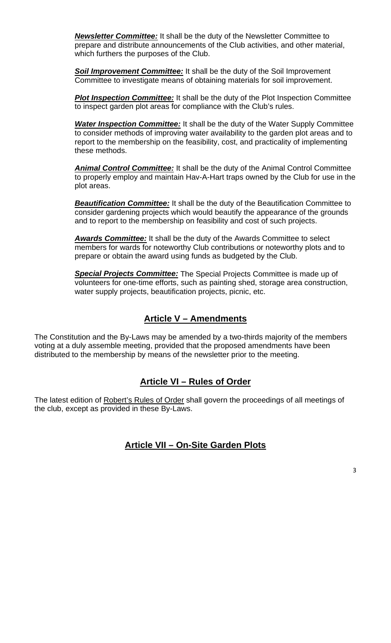*Newsletter Committee:* It shall be the duty of the Newsletter Committee to prepare and distribute announcements of the Club activities, and other material, which furthers the purposes of the Club.

**Soil Improvement Committee:** It shall be the duty of the Soil Improvement Committee to investigate means of obtaining materials for soil improvement.

*Plot Inspection Committee:* It shall be the duty of the Plot Inspection Committee to inspect garden plot areas for compliance with the Club's rules.

*Water Inspection Committee:* It shall be the duty of the Water Supply Committee to consider methods of improving water availability to the garden plot areas and to report to the membership on the feasibility, cost, and practicality of implementing these methods.

*Animal Control Committee:* It shall be the duty of the Animal Control Committee to properly employ and maintain Hav-A-Hart traps owned by the Club for use in the plot areas.

*Beautification Committee:* It shall be the duty of the Beautification Committee to consider gardening projects which would beautify the appearance of the grounds and to report to the membership on feasibility and cost of such projects.

*Awards Committee:* It shall be the duty of the Awards Committee to select members for wards for noteworthy Club contributions or noteworthy plots and to prepare or obtain the award using funds as budgeted by the Club.

*Special Projects Committee:* The Special Projects Committee is made up of volunteers for one-time efforts, such as painting shed, storage area construction, water supply projects, beautification projects, picnic, etc.

## **Article V – Amendments**

The Constitution and the By-Laws may be amended by a two-thirds majority of the members voting at a duly assemble meeting, provided that the proposed amendments have been distributed to the membership by means of the newsletter prior to the meeting.

## **Article VI – Rules of Order**

The latest edition of Robert's Rules of Order shall govern the proceedings of all meetings of the club, except as provided in these By-Laws.

## **Article VII – On-Site Garden Plots**